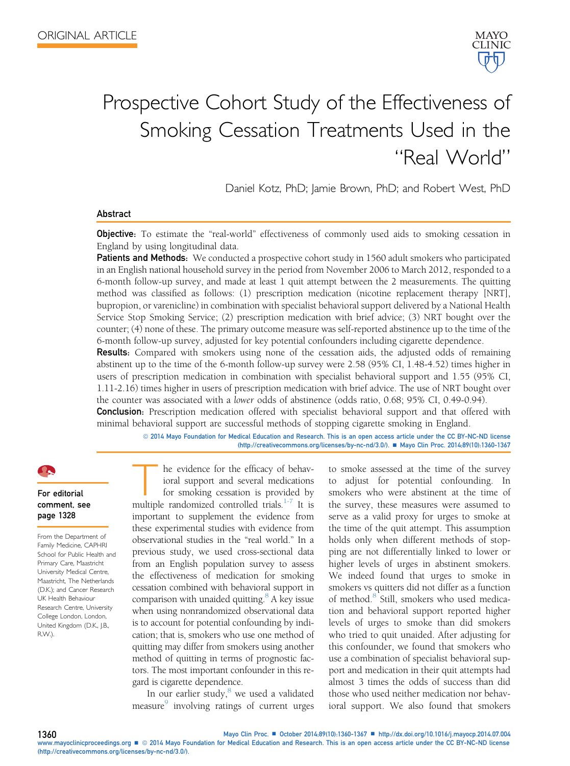

# Prospective Cohort Study of the Effectiveness of Smoking Cessation Treatments Used in the "Real World"

Daniel Kotz, PhD; Jamie Brown, PhD; and Robert West, PhD

#### Abstract

**Objective:** To estimate the "real-world" effectiveness of commonly used aids to smoking cessation in England by using longitudinal data.

Patients and Methods: We conducted a prospective cohort study in 1560 adult smokers who participated in an English national household survey in the period from November 2006 to March 2012, responded to a 6-month follow-up survey, and made at least 1 quit attempt between the 2 measurements. The quitting method was classified as follows: (1) prescription medication (nicotine replacement therapy [NRT], bupropion, or varenicline) in combination with specialist behavioral support delivered by a National Health Service Stop Smoking Service; (2) prescription medication with brief advice; (3) NRT bought over the counter; (4) none of these. The primary outcome measure was self-reported abstinence up to the time of the 6-month follow-up survey, adjusted for key potential confounders including cigarette dependence.

Results: Compared with smokers using none of the cessation aids, the adjusted odds of remaining abstinent up to the time of the 6-month follow-up survey were 2.58 (95% CI, 1.48-4.52) times higher in users of prescription medication in combination with specialist behavioral support and 1.55 (95% CI, 1.11-2.16) times higher in users of prescription medication with brief advice. The use of NRT bought over the counter was associated with a lower odds of abstinence (odds ratio, 0.68; 95% CI, 0.49-0.94).

**Conclusion:** Prescription medication offered with specialist behavioral support and that offered with minimal behavioral support are successful methods of stopping cigarette smoking in England.

> ª 2014 Mayo Foundation for Medical Education and Research. This is an open access article under the CC BY-NC-ND license [\(http://creativecommons.org/licenses/by-nc-nd/3.0/\).](http://creativecommons.org/licenses/by-nc-nd/3.0/) ■ Mayo Clin Proc. 2014;89(10):1360-1367

# For editorial comment, see page 1328

From the Department of Family Medicine, CAPHRI School for Public Health and Primary Care, Maastricht University Medical Centre, Maastricht, The Netherlands (D.K.); and Cancer Research UK Health Behaviour Research Centre, University College London, London, United Kingdom (D.K., J.B., R.W.).

The evidence for the efficacy of behav-<br>
ioral support and several medications<br>
for smoking cessation is provided by<br>
multiple randomized controlled trials.<sup>1-7</sup> It is ioral support and several medications for smoking cessation is provided by important to supplement the evidence from these experimental studies with evidence from observational studies in the "real world." In a previous study, we used cross-sectional data from an English population survey to assess the effectiveness of medication for smoking cessation combined with behavioral support in comparison with unaided quitting. $\degree$  A key issue when using nonrandomized observational data is to account for potential confounding by indication; that is, smokers who use one method of quitting may differ from smokers using another method of quitting in terms of prognostic factors. The most important confounder in this regard is cigarette dependence.

In our earlier study, $8$  we used a validated measure involving ratings of current urges to smoke assessed at the time of the survey to adjust for potential confounding. In smokers who were abstinent at the time of the survey, these measures were assumed to serve as a valid proxy for urges to smoke at the time of the quit attempt. This assumption holds only when different methods of stopping are not differentially linked to lower or higher levels of urges in abstinent smokers. We indeed found that urges to smoke in smokers vs quitters did not differ as a function of method.<sup>[8](#page-6-0)</sup> Still, smokers who used medication and behavioral support reported higher levels of urges to smoke than did smokers who tried to quit unaided. After adjusting for this confounder, we found that smokers who use a combination of specialist behavioral support and medication in their quit attempts had almost 3 times the odds of success than did those who used neither medication nor behavioral support. We also found that smokers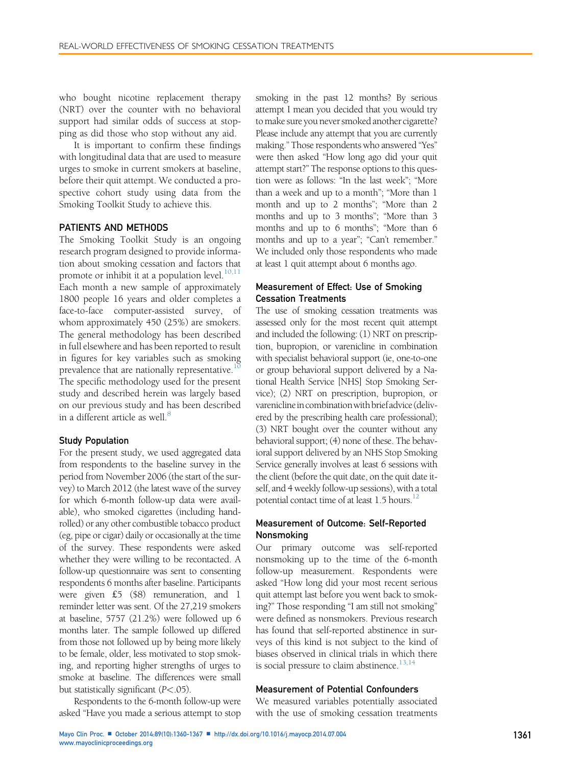who bought nicotine replacement therapy (NRT) over the counter with no behavioral support had similar odds of success at stopping as did those who stop without any aid.

It is important to confirm these findings with longitudinal data that are used to measure urges to smoke in current smokers at baseline, before their quit attempt. We conducted a prospective cohort study using data from the Smoking Toolkit Study to achieve this.

### PATIENTS AND METHODS

The Smoking Toolkit Study is an ongoing research program designed to provide information about smoking cessation and factors that promote or inhibit it at a population level. $10,11$ Each month a new sample of approximately 1800 people 16 years and older completes a face-to-face computer-assisted survey, of whom approximately 450 (25%) are smokers. The general methodology has been described in full elsewhere and has been reported to result in figures for key variables such as smoking prevalence that are nationally representative. $<sup>1</sup>$ </sup> The specific methodology used for the present study and described herein was largely based on our previous study and has been described in a different article as well.<sup>[8](#page-6-0)</sup>

#### Study Population

For the present study, we used aggregated data from respondents to the baseline survey in the period from November 2006 (the start of the survey) to March 2012 (the latest wave of the survey for which 6-month follow-up data were available), who smoked cigarettes (including handrolled) or any other combustible tobacco product (eg, pipe or cigar) daily or occasionally at the time of the survey. These respondents were asked whether they were willing to be recontacted. A follow-up questionnaire was sent to consenting respondents 6 months after baseline. Participants were given £5 (\$8) remuneration, and 1 reminder letter was sent. Of the 27,219 smokers at baseline, 5757 (21.2%) were followed up 6 months later. The sample followed up differed from those not followed up by being more likely to be female, older, less motivated to stop smoking, and reporting higher strengths of urges to smoke at baseline. The differences were small but statistically significant  $(P<.05)$ .

Respondents to the 6-month follow-up were asked "Have you made a serious attempt to stop

smoking in the past 12 months? By serious attempt I mean you decided that you would try to make sure you never smoked another cigarette? Please include any attempt that you are currently making." Those respondents who answered "Yes" were then asked "How long ago did your quit attempt start?" The response options to this question were as follows: "In the last week"; "More than a week and up to a month"; "More than 1 month and up to 2 months"; "More than 2 months and up to 3 months"; "More than 3 months and up to 6 months"; "More than 6 months and up to a year"; "Can't remember." We included only those respondents who made at least 1 quit attempt about 6 months ago.

# Measurement of Effect: Use of Smoking Cessation Treatments

The use of smoking cessation treatments was assessed only for the most recent quit attempt and included the following: (1) NRT on prescription, bupropion, or varenicline in combination with specialist behavioral support (ie, one-to-one or group behavioral support delivered by a National Health Service [NHS] Stop Smoking Service); (2) NRT on prescription, bupropion, or varenicline in combination with brief advice (delivered by the prescribing health care professional); (3) NRT bought over the counter without any behavioral support; (4) none of these. The behavioral support delivered by an NHS Stop Smoking Service generally involves at least 6 sessions with the client (before the quit date, on the quit date itself, and 4 weekly follow-up sessions), with a total potential contact time of at least  $1.5$  hours.<sup>[12](#page-6-0)</sup>

# Measurement of Outcome: Self-Reported Nonsmoking

Our primary outcome was self-reported nonsmoking up to the time of the 6-month follow-up measurement. Respondents were asked "How long did your most recent serious quit attempt last before you went back to smoking?" Those responding "I am still not smoking" were defined as nonsmokers. Previous research has found that self-reported abstinence in surveys of this kind is not subject to the kind of biases observed in clinical trials in which there is social pressure to claim abstinence.<sup>13,14</sup>

# Measurement of Potential Confounders

We measured variables potentially associated with the use of smoking cessation treatments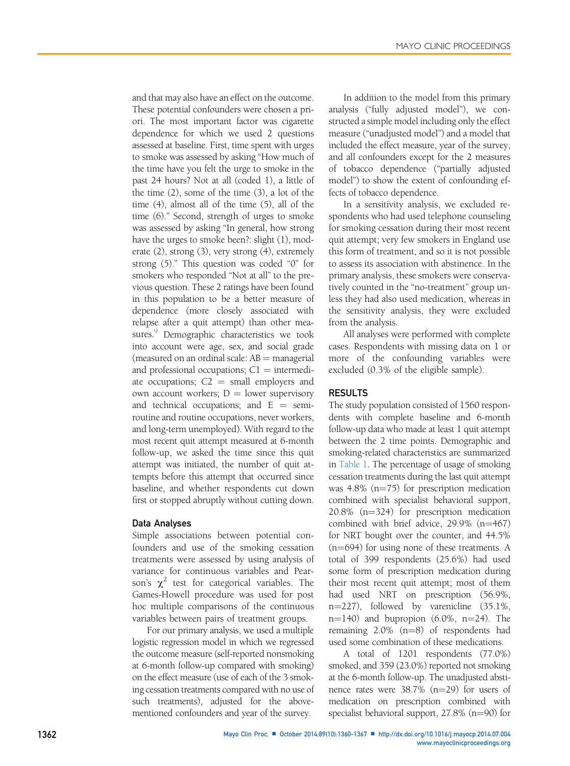and that may also have an effect on the outcome. These potential confounders were chosen a priori. The most important factor was cigarette dependence for which we used 2 questions assessed at baseline. First, time spent with urges to smoke was assessed by asking "How much of the time have you felt the urge to smoke in the past 24 hours? Not at all (coded 1), a little of the time (2), some of the time (3), a lot of the time (4), almost all of the time (5), all of the time (6)." Second, strength of urges to smoke was assessed by asking "In general, how strong have the urges to smoke been?: slight (1), moderate (2), strong (3), very strong (4), extremely strong (5)." This question was coded "0" for smokers who responded "Not at all" to the previous question. These 2 ratings have been found in this population to be a better measure of dependence (more closely associated with relapse after a quit attempt) than other mea-sures.<sup>[9](#page-6-0)</sup> Demographic characteristics we took into account were age, sex, and social grade (measured on an ordinal scale:  $AB =$  managerial and professional occupations;  $Cl =$  intermediate occupations;  $C2 = \text{small emplovers and}$ own account workers;  $D =$  lower supervisory and technical occupations; and  $E =$  semiroutine and routine occupations, never workers, and long-term unemployed). With regard to the most recent quit attempt measured at 6-month follow-up, we asked the time since this quit attempt was initiated, the number of quit attempts before this attempt that occurred since baseline, and whether respondents cut down first or stopped abruptly without cutting down.

# Data Analyses

Simple associations between potential confounders and use of the smoking cessation treatments were assessed by using analysis of variance for continuous variables and Pearson's  $\chi^2$  test for categorical variables. The Games-Howell procedure was used for post hoc multiple comparisons of the continuous variables between pairs of treatment groups.

For our primary analysis, we used a multiple logistic regression model in which we regressed the outcome measure (self-reported nonsmoking at 6-month follow-up compared with smoking) on the effect measure (use of each of the 3 smoking cessation treatments compared with no use of such treatments), adjusted for the abovementioned confounders and year of the survey.

In addition to the model from this primary analysis ("fully adjusted model"), we constructed a simple model including only the effect measure ("unadjusted model") and a model that included the effect measure, year of the survey, and all confounders except for the 2 measures of tobacco dependence ("partially adjusted model") to show the extent of confounding effects of tobacco dependence.

In a sensitivity analysis, we excluded respondents who had used telephone counseling for smoking cessation during their most recent quit attempt; very few smokers in England use this form of treatment, and so it is not possible to assess its association with abstinence. In the primary analysis, these smokers were conservatively counted in the "no-treatment" group unless they had also used medication, whereas in the sensitivity analysis, they were excluded from the analysis.

All analyses were performed with complete cases. Respondents with missing data on 1 or more of the confounding variables were excluded (0.3% of the eligible sample).

# RESULTS

The study population consisted of 1560 respondents with complete baseline and 6-month follow-up data who made at least 1 quit attempt between the 2 time points. Demographic and smoking-related characteristics are summarized in [Table 1.](#page-3-0) The percentage of usage of smoking cessation treatments during the last quit attempt was  $4.8\%$  (n=75) for prescription medication combined with specialist behavioral support,  $20.8\%$  (n=324) for prescription medication combined with brief advice,  $29.9\%$  (n=467) for NRT bought over the counter, and 44.5%  $(n=694)$  for using none of these treatments. A total of 399 respondents (25.6%) had used some form of prescription medication during their most recent quit attempt; most of them had used NRT on prescription (56.9%, n=227), followed by varenicline (35.1%,  $n=140$ ) and bupropion (6.0%,  $n=24$ ). The remaining  $2.0\%$  (n=8) of respondents had used some combination of these medications.

A total of 1201 respondents (77.0%) smoked, and 359 (23.0%) reported not smoking at the 6-month follow-up. The unadjusted abstinence rates were  $38.7\%$  (n=29) for users of medication on prescription combined with specialist behavioral support,  $27.8\%$  (n=90) for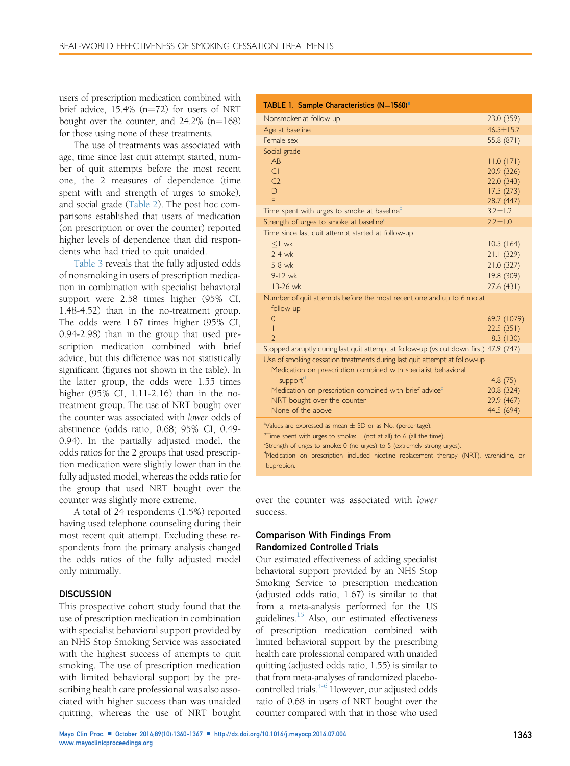<span id="page-3-0"></span>users of prescription medication combined with brief advice,  $15.4\%$  (n=72) for users of NRT bought over the counter, and  $24.2\%$  (n=168) for those using none of these treatments.

The use of treatments was associated with age, time since last quit attempt started, number of quit attempts before the most recent one, the 2 measures of dependence (time spent with and strength of urges to smoke), and social grade ([Table 2\)](#page-4-0). The post hoc comparisons established that users of medication (on prescription or over the counter) reported higher levels of dependence than did respondents who had tried to quit unaided.

[Table 3](#page-4-0) reveals that the fully adjusted odds of nonsmoking in users of prescription medication in combination with specialist behavioral support were 2.58 times higher (95% CI, 1.48-4.52) than in the no-treatment group. The odds were 1.67 times higher (95% CI, 0.94-2.98) than in the group that used prescription medication combined with brief advice, but this difference was not statistically significant (figures not shown in the table). In the latter group, the odds were 1.55 times higher (95% CI, 1.11-2.16) than in the notreatment group. The use of NRT bought over the counter was associated with lower odds of abstinence (odds ratio, 0.68; 95% CI, 0.49- 0.94). In the partially adjusted model, the odds ratios for the 2 groups that used prescription medication were slightly lower than in the fully adjusted model, whereas the odds ratio for the group that used NRT bought over the counter was slightly more extreme.

A total of 24 respondents (1.5%) reported having used telephone counseling during their most recent quit attempt. Excluding these respondents from the primary analysis changed the odds ratios of the fully adjusted model only minimally.

# **DISCUSSION**

This prospective cohort study found that the use of prescription medication in combination with specialist behavioral support provided by an NHS Stop Smoking Service was associated with the highest success of attempts to quit smoking. The use of prescription medication with limited behavioral support by the prescribing health care professional was also associated with higher success than was unaided quitting, whereas the use of NRT bought

| TABLE 1. Sample Characteristics (N=1560) <sup>a</sup>                                                                                       |                                                                |
|---------------------------------------------------------------------------------------------------------------------------------------------|----------------------------------------------------------------|
| Nonsmoker at follow-up                                                                                                                      | 23.0 (359)                                                     |
| Age at baseline                                                                                                                             | $46.5 \pm 15.7$                                                |
| Female sex                                                                                                                                  | 55.8 (871)                                                     |
| Social grade<br>AB<br>CI                                                                                                                    | 11.0(171)<br>20.9 (326)                                        |
| C <sub>2</sub><br>$\mathsf{D}$<br>F.                                                                                                        | 22.0(343)<br>17.5(273)<br>28.7 (447)                           |
| Time spent with urges to smoke at baseline <sup>b</sup>                                                                                     | $3.2 \pm 1.2$                                                  |
| Strength of urges to smoke at baseline <sup>c</sup>                                                                                         | $2.2 \pm 1.0$                                                  |
| Time since last quit attempt started at follow-up<br>$<$ $ $ wk<br>$2-4$ wk<br>$5-8$ wk<br>$9-12$ wk<br>$13-26$ wk                          | 10.5(164)<br>21.1(329)<br>21.0(327)<br>19.8(309)<br>27.6 (431) |
| Number of quit attempts before the most recent one and up to 6 mo at<br>follow-up<br>$\overline{0}$<br>ı<br>$\overline{\phantom{0}}$        | 69.2 (1079)<br>22.5(351)<br>8.3(130)                           |
| Stopped abruptly during last quit attempt at follow-up (vs cut down first) 47.9 (747)                                                       |                                                                |
| Use of smoking cessation treatments during last quit attempt at follow-up<br>Medication on prescription combined with specialist behavioral |                                                                |
| supportd<br>Medication on prescription combined with brief adviced<br>NRT bought over the counter<br>None of the above                      | 4.8(75)<br>20.8 (324)<br>29.9 (467)<br>44.5 (694)              |
|                                                                                                                                             |                                                                |

<sup>a</sup>Values are expressed as mean  $\pm$  SD or as No. (percentage).

<sup>b</sup>Time spent with urges to smoke: I (not at all) to 6 (all the time).

<sup>c</sup>Strength of urges to smoke: 0 (no urges) to 5 (extremely strong urges).

<sup>d</sup>Medication on prescription included nicotine replacement therapy (NRT), varenicline, or bupropion.

over the counter was associated with lower success.

# Comparison With Findings From Randomized Controlled Trials

Our estimated effectiveness of adding specialist behavioral support provided by an NHS Stop Smoking Service to prescription medication (adjusted odds ratio, 1.67) is similar to that from a meta-analysis performed for the US guidelines[.15](#page-6-0) Also, our estimated effectiveness of prescription medication combined with limited behavioral support by the prescribing health care professional compared with unaided quitting (adjusted odds ratio, 1.55) is similar to that from meta-analyses of randomized placebocontrolled trials.<sup>4-6</sup> However, our adjusted odds ratio of 0.68 in users of NRT bought over the counter compared with that in those who used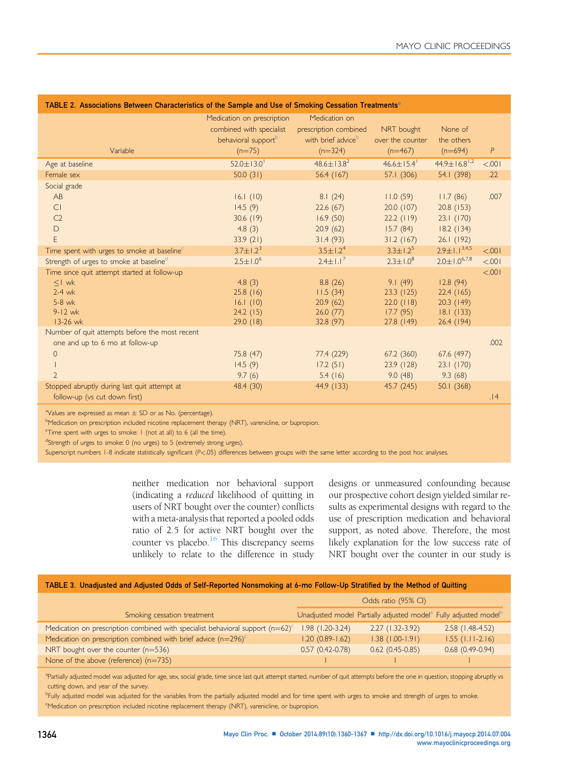<span id="page-4-0"></span>

| TABLE 2. Associations Between Characteristics of the Sample and Use of Smoking Cessation Treatments <sup>a</sup> |                                 |                                |                              |                       |         |  |  |
|------------------------------------------------------------------------------------------------------------------|---------------------------------|--------------------------------|------------------------------|-----------------------|---------|--|--|
|                                                                                                                  | Medication on prescription      | Medication on                  |                              |                       |         |  |  |
|                                                                                                                  | combined with specialist        | prescription combined          | NRT bought                   | None of               |         |  |  |
|                                                                                                                  | behavioral support <sup>b</sup> | with brief advice <sup>b</sup> | over the counter             | the others            |         |  |  |
| Variable                                                                                                         | $(n=75)$                        | $(n=324)$                      | $(n=467)$                    | $(n=694)$             | P       |  |  |
| Age at baseline                                                                                                  | $52.0 \pm 13.0$ <sup>1</sup>    | $48.6 \pm 13.8^2$              | $46.6 \pm 15.4$ <sup>1</sup> | $44.9 \pm 16.8^{1.2}$ | < .001  |  |  |
| Female sex                                                                                                       | 50.0 $(31)$                     | 56.4 (167)                     | 57.1 (306)                   | 54.1 (398)            | .22     |  |  |
| Social grade                                                                                                     |                                 |                                |                              |                       |         |  |  |
| AB                                                                                                               | 16.1(10)                        | 8.1(24)                        | 11.0(59)                     | 11.7(86)              | .007    |  |  |
| CI                                                                                                               | 14.5(9)                         | 22.6(67)                       | 20.0 (107)                   | 20.8(153)             |         |  |  |
| C <sub>2</sub>                                                                                                   | 30.6(19)                        | 16.9(50)                       | 22.2(119)                    | 23.1(170)             |         |  |  |
| D                                                                                                                | 4.8(3)                          | 20.9(62)                       | 15.7(84)                     | 18.2(134)             |         |  |  |
| E                                                                                                                | 33.9(21)                        | 31.4(93)                       | 31.2(167)                    | 26.1(192)             |         |  |  |
| Time spent with urges to smoke at baseline <sup>c</sup>                                                          | $3.7 \pm 1.2^3$                 | $3.5 \pm 1.2^4$                | $3.3 \pm 1.2^{5}$            | $2.9 \pm 1.1^{3,4,5}$ | < 0.001 |  |  |
| Strength of urges to smoke at baseline <sup>d</sup>                                                              | $2.5 \pm 1.0^6$                 | $2.4 \pm 1.1^{7}$              | $2.3 \pm 1.0^8$              | $2.0 \pm 1.0^{6,7,8}$ | < .001  |  |  |
| Time since quit attempt started at follow-up                                                                     |                                 |                                |                              |                       | < 0.001 |  |  |
| $<$ $1$ wk                                                                                                       | 4.8(3)                          | 8.8(26)                        | 9.1(49)                      | 12.8(94)              |         |  |  |
| $2-4$ wk                                                                                                         | 25.8(16)                        | 11.5(34)                       | 23.3(125)                    | 22.4(165)             |         |  |  |
| $5-8$ wk                                                                                                         | 16.1(10)                        | 20.9(62)                       | 22.0(118)                    | 20.3(149)             |         |  |  |
| $9-12$ wk                                                                                                        | 24.2(15)                        | 26.0(77)                       | 17.7(95)                     | 18.1(133)             |         |  |  |
| $13-26$ wk                                                                                                       | 29.0(18)                        | 32.8 (97)                      | 27.8(149)                    | 26.4 (194)            |         |  |  |
| Number of quit attempts before the most recent                                                                   |                                 |                                |                              |                       |         |  |  |
| one and up to 6 mo at follow-up                                                                                  |                                 |                                |                              |                       | .002    |  |  |
| $\overline{0}$                                                                                                   | 75.8 (47)                       | 77.4 (229)                     | 67.2(360)                    | 67.6 (497)            |         |  |  |
|                                                                                                                  | 14.5(9)                         | 17.2(51)                       | 23.9(128)                    | 23.1(170)             |         |  |  |
| $\overline{\phantom{a}}$                                                                                         | 9.7(6)                          | 5.4(16)                        | 9.0(48)                      | 9.3(68)               |         |  |  |
| Stopped abruptly during last quit attempt at                                                                     | 48.4 (30)                       | 44.9 (133)                     | 45.7 (245)                   | 50.1(368)             |         |  |  |
| follow-up (vs cut down first)                                                                                    |                                 |                                |                              |                       | .14     |  |  |

<sup>a</sup>Values are expressed as mean  $\pm$  SD or as No. (percentage).

<sup>b</sup>Medication on prescription included nicotine replacement therapy (NRT), varenicline, or bupropion.

<sup>c</sup>Time spent with urges to smoke: I (not at all) to 6 (all the time).

<sup>d</sup>Strength of urges to smoke: 0 (no urges) to 5 (extremely strong urges).

Superscript numbers 1-8 indicate statistically significant (P<.05) differences between groups with the same letter according to the post hoc analyses.

neither medication nor behavioral support (indicating a reduced likelihood of quitting in users of NRT bought over the counter) conflicts with a meta-analysis that reported a pooled odds ratio of 2.5 for active NRT bought over the counter vs placebo. $16$  This discrepancy seems unlikely to relate to the difference in study

designs or unmeasured confounding because our prospective cohort design yielded similar results as experimental designs with regard to the use of prescription medication and behavioral support, as noted above. Therefore, the most likely explanation for the low success rate of NRT bought over the counter in our study is

#### TABLE 3. Unadjusted and Adjusted Odds of Self-Reported Nonsmoking at 6-mo Follow-Up Stratified by the Method of Quitting

|                                                                                                | Odds ratio (95% CI) |                                                                                          |                        |
|------------------------------------------------------------------------------------------------|---------------------|------------------------------------------------------------------------------------------|------------------------|
| Smoking cessation treatment                                                                    |                     | Unadjusted model Partially adjusted model <sup>a</sup> Fully adjusted model <sup>b</sup> |                        |
| Medication on prescription combined with specialist behavioral support ( $n=62$ ) <sup>c</sup> | $1.98$ (1.20-3.24)  | $2.27(1.32-3.92)$                                                                        | $2.58$ (1.48-4.52)     |
| Medication on prescription combined with brief advice $(n=296)^c$                              | $1.20(0.89 - 1.62)$ | $1.38$ $(1.00 - 1.91)$                                                                   | $1.55$ (1.11-2.16)     |
| NRT bought over the counter $(n=536)$                                                          | $0.57(0.42 - 0.78)$ | $0.62$ (0.45-0.85)                                                                       | $0.68$ $(0.49 - 0.94)$ |
| None of the above (reference) (n=735)                                                          |                     |                                                                                          |                        |

a<br>Partially adjusted model was adjusted for age, sex, social grade, time since last quit attempt started, number of quit attempts before the one in question, stopping abruptly vs cutting down, and year of the survey.

<sup>b</sup>Fully adjusted model was adjusted for the variables from the partially adjusted model and for time spent with urges to smoke and strength of urges to smoke. Medication on prescription included nicotine replacement therapy (NRT), varenicline, or bupropion.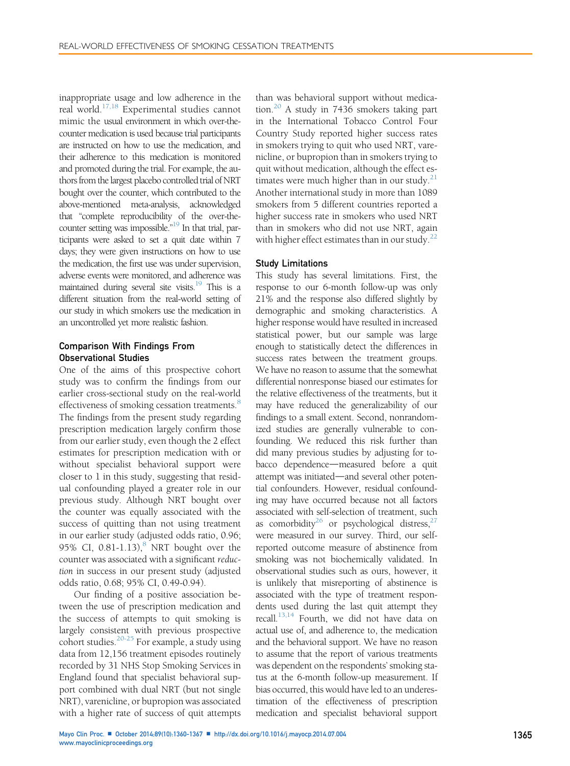inappropriate usage and low adherence in the real world[.17,18](#page-7-0) Experimental studies cannot mimic the usual environment in which over-thecounter medication is used because trial participants are instructed on how to use the medication, and their adherence to this medication is monitored and promoted during the trial. For example, the authors from the largest placebo controlled trial of NRT bought over the counter, which contributed to the above-mentioned meta-analysis, acknowledged that "complete reproducibility of the over-thecounter setting was impossible." [19](#page-7-0) In that trial, participants were asked to set a quit date within 7 days; they were given instructions on how to use the medication, the first use was under supervision, adverse events were monitored, and adherence was maintained during several site visits. $19$  This is a different situation from the real-world setting of our study in which smokers use the medication in an uncontrolled yet more realistic fashion.

# Comparison With Findings From Observational Studies

One of the aims of this prospective cohort study was to confirm the findings from our earlier cross-sectional study on the real-world effectiveness of smoking cessation treatments.<sup>[8](#page-6-0)</sup> The findings from the present study regarding prescription medication largely confirm those from our earlier study, even though the 2 effect estimates for prescription medication with or without specialist behavioral support were closer to 1 in this study, suggesting that residual confounding played a greater role in our previous study. Although NRT bought over the counter was equally associated with the success of quitting than not using treatment in our earlier study (adjusted odds ratio, 0.96; 95% CI,  $0.81 - 1.13$  $0.81 - 1.13$  $0.81 - 1.13$ , NRT bought over the counter was associated with a significant reduction in success in our present study (adjusted odds ratio, 0.68; 95% CI, 0.49-0.94).

Our finding of a positive association between the use of prescription medication and the success of attempts to quit smoking is largely consistent with previous prospective cohort studies.[20-25](#page-7-0) For example, a study using data from 12,156 treatment episodes routinely recorded by 31 NHS Stop Smoking Services in England found that specialist behavioral support combined with dual NRT (but not single NRT), varenicline, or bupropion was associated with a higher rate of success of quit attempts

than was behavioral support without medica-tion.<sup>[20](#page-7-0)</sup> A study in 7436 smokers taking part in the International Tobacco Control Four Country Study reported higher success rates in smokers trying to quit who used NRT, varenicline, or bupropion than in smokers trying to quit without medication, although the effect estimates were much higher than in our study. $21$ Another international study in more than 1089 smokers from 5 different countries reported a higher success rate in smokers who used NRT than in smokers who did not use NRT, again with higher effect estimates than in our study.<sup>[22](#page-7-0)</sup>

# Study Limitations

This study has several limitations. First, the response to our 6-month follow-up was only 21% and the response also differed slightly by demographic and smoking characteristics. A higher response would have resulted in increased statistical power, but our sample was large enough to statistically detect the differences in success rates between the treatment groups. We have no reason to assume that the somewhat differential nonresponse biased our estimates for the relative effectiveness of the treatments, but it may have reduced the generalizability of our findings to a small extent. Second, nonrandomized studies are generally vulnerable to confounding. We reduced this risk further than did many previous studies by adjusting for tobacco dependence—measured before a quit attempt was initiated—and several other potential confounders. However, residual confounding may have occurred because not all factors associated with self-selection of treatment, such as comorbidity<sup>26</sup> or psychological distress,<sup>[27](#page-7-0)</sup> were measured in our survey. Third, our selfreported outcome measure of abstinence from smoking was not biochemically validated. In observational studies such as ours, however, it is unlikely that misreporting of abstinence is associated with the type of treatment respondents used during the last quit attempt they recall. $^{13,14}$  Fourth, we did not have data on actual use of, and adherence to, the medication and the behavioral support. We have no reason to assume that the report of various treatments was dependent on the respondents' smoking status at the 6-month follow-up measurement. If bias occurred, this would have led to an underestimation of the effectiveness of prescription medication and specialist behavioral support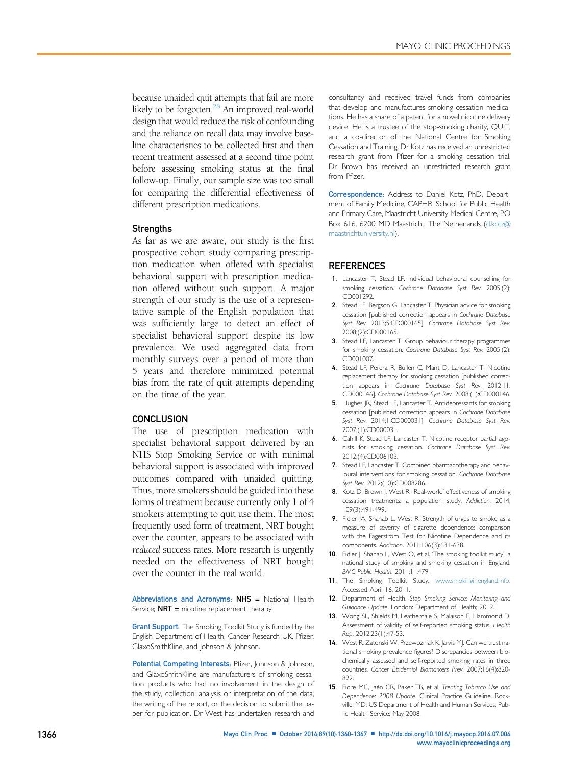<span id="page-6-0"></span>because unaided quit attempts that fail are more likely to be forgotten.<sup>28</sup> An improved real-world design that would reduce the risk of confounding and the reliance on recall data may involve baseline characteristics to be collected first and then recent treatment assessed at a second time point before assessing smoking status at the final follow-up. Finally, our sample size was too small for comparing the differential effectiveness of different prescription medications.

#### **Strengths**

As far as we are aware, our study is the first prospective cohort study comparing prescription medication when offered with specialist behavioral support with prescription medication offered without such support. A major strength of our study is the use of a representative sample of the English population that was sufficiently large to detect an effect of specialist behavioral support despite its low prevalence. We used aggregated data from monthly surveys over a period of more than 5 years and therefore minimized potential bias from the rate of quit attempts depending on the time of the year.

### **CONCLUSION**

The use of prescription medication with specialist behavioral support delivered by an NHS Stop Smoking Service or with minimal behavioral support is associated with improved outcomes compared with unaided quitting. Thus, more smokers should be guided into these forms of treatment because currently only 1 of 4 smokers attempting to quit use them. The most frequently used form of treatment, NRT bought over the counter, appears to be associated with reduced success rates. More research is urgently needed on the effectiveness of NRT bought over the counter in the real world.

Abbreviations and Acronyms: NHS = National Health Service;  $NRT$  = nicotine replacement therapy

**Grant Support:** The Smoking Toolkit Study is funded by the English Department of Health, Cancer Research UK, Pfizer, GlaxoSmithKline, and Johnson & Johnson.

Potential Competing Interests: Pfizer, Johnson & Johnson, and GlaxoSmithKline are manufacturers of smoking cessation products who had no involvement in the design of the study, collection, analysis or interpretation of the data, the writing of the report, or the decision to submit the paper for publication. Dr West has undertaken research and

consultancy and received travel funds from companies that develop and manufactures smoking cessation medications. He has a share of a patent for a novel nicotine delivery device. He is a trustee of the stop-smoking charity, QUIT, and a co-director of the National Centre for Smoking Cessation and Training. Dr Kotz has received an unrestricted research grant from Pfizer for a smoking cessation trial. Dr Brown has received an unrestricted research grant from Pfizer.

Correspondence: Address to Daniel Kotz, PhD, Department of Family Medicine, CAPHRI School for Public Health and Primary Care, Maastricht University Medical Centre, PO Box 616, 6200 MD Maastricht, The Netherlands ([d.kotz@](mailto:d.kotz@maastrichtuniversity.nl) [maastrichtuniversity.nl](mailto:d.kotz@maastrichtuniversity.nl)).

#### **REFERENCES**

- 1. Lancaster T, Stead LF. Individual behavioural counselling for smoking cessation. Cochrane Database Syst Rev. 2005;(2): CD001292.
- 2. Stead LF, Bergson G, Lancaster T. Physician advice for smoking cessation [published correction appears in Cochrane Database Syst Rev. 2013;5:CD000165]. Cochrane Database Syst Rev. 2008;(2):CD000165.
- 3. Stead LF, Lancaster T. Group behaviour therapy programmes for smoking cessation. Cochrane Database Syst Rev. 2005;(2): CD001007.
- 4. Stead LF, Perera R, Bullen C, Mant D, Lancaster T. Nicotine replacement therapy for smoking cessation [published correction appears in Cochrane Database Syst Rev. 2012;11: CD000146]. Cochrane Database Syst Rev. 2008;(1):CD000146.
- 5. Hughes JR, Stead LF, Lancaster T. Antidepressants for smoking cessation [published correction appears in Cochrane Database Syst Rev. 2014;1:CD000031]. Cochrane Database Syst Rev. 2007;(1):CD000031.
- 6. Cahill K, Stead LF, Lancaster T. Nicotine receptor partial agonists for smoking cessation. Cochrane Database Syst Rev. 2012;(4):CD006103.
- 7. Stead LF, Lancaster T. Combined pharmacotherapy and behavioural interventions for smoking cessation. Cochrane Database Syst Rev. 2012;(10):CD008286.
- 8. Kotz D, Brown J, West R. 'Real-world' effectiveness of smoking cessation treatments: a population study. Addiction. 2014; 109(3):491-499.
- 9. Fidler JA, Shahab L, West R. Strength of urges to smoke as a measure of severity of cigarette dependence: comparison with the Fagerström Test for Nicotine Dependence and its components. Addiction. 2011;106(3):631-638.
- 10. Fidler J, Shahab L, West O, et al. 'The smoking toolkit study': a national study of smoking and smoking cessation in England. BMC Public Health. 2011;11:479.
- 11. The Smoking Toolkit Study. [www.smokinginengland.info](http://www.smokinginengland.info). Accessed April 16, 2011.
- 12. Department of Health. Stop Smoking Service: Monitoring and Guidance Update. London: Department of Health; 2012.
- 13. Wong SL, Shields M, Leatherdale S, Malaison E, Hammond D. Assessment of validity of self-reported smoking status. Health Rep. 2012;23(1):47-53.
- 14. West R, Zatonski W, Przewozniak K, Jarvis MJ. Can we trust national smoking prevalence figures? Discrepancies between biochemically assessed and self-reported smoking rates in three countries. Cancer Epidemiol Biomarkers Prev. 2007;16(4):820-  $822$
- 15. Fiore MC, Jaén CR, Baker TB, et al. Treating Tobacco Use and Dependence: 2008 Update. Clinical Practice Guideline. Rockville, MD: US Department of Health and Human Services, Public Health Service; May 2008.